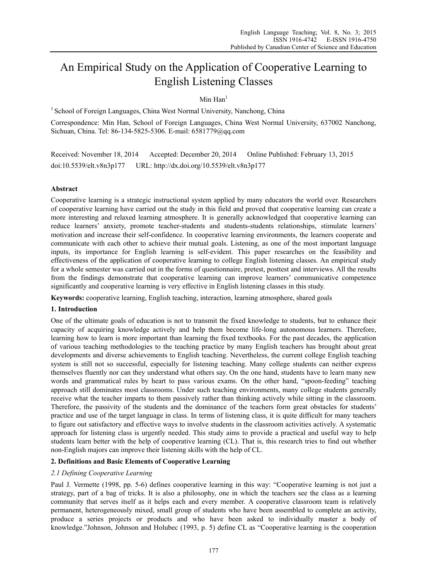# An Empirical Study on the Application of Cooperative Learning to English Listening Classes

Min  $\text{Han}^1$ 

<sup>1</sup> School of Foreign Languages, China West Normal University, Nanchong, China

Correspondence: Min Han, School of Foreign Languages, China West Normal University, 637002 Nanchong, Sichuan, China. Tel: 86-134-5825-5306. E-mail: 6581779@qq.com

Received: November 18, 2014 Accepted: December 20, 2014 Online Published: February 13, 2015 doi:10.5539/elt.v8n3p177 URL: http://dx.doi.org/10.5539/elt.v8n3p177

# **Abstract**

Cooperative learning is a strategic instructional system applied by many educators the world over. Researchers of cooperative learning have carried out the study in this field and proved that cooperative learning can create a more interesting and relaxed learning atmosphere. It is generally acknowledged that cooperative learning can reduce learners' anxiety, promote teacher-students and students-students relationships, stimulate learners' motivation and increase their self-confidence. In cooperative learning environments, the learners cooperate and communicate with each other to achieve their mutual goals. Listening, as one of the most important language inputs, its importance for English learning is self-evident. This paper researches on the feasibility and effectiveness of the application of cooperative learning to college English listening classes. An empirical study for a whole semester was carried out in the forms of questionnaire, pretest, posttest and interviews. All the results from the findings demonstrate that cooperative learning can improve learners' communicative competence significantly and cooperative learning is very effective in English listening classes in this study.

**Keywords:** cooperative learning, English teaching, interaction, learning atmosphere, shared goals

# **1. Introduction**

One of the ultimate goals of education is not to transmit the fixed knowledge to students, but to enhance their capacity of acquiring knowledge actively and help them become life-long autonomous learners. Therefore, learning how to learn is more important than learning the fixed textbooks. For the past decades, the application of various teaching methodologies to the teaching practice by many English teachers has brought about great developments and diverse achievements to English teaching. Nevertheless, the current college English teaching system is still not so successful, especially for listening teaching. Many college students can neither express themselves fluently nor can they understand what others say. On the one hand, students have to learn many new words and grammatical rules by heart to pass various exams. On the other hand, "spoon-feeding" teaching approach still dominates most classrooms. Under such teaching environments, many college students generally receive what the teacher imparts to them passively rather than thinking actively while sitting in the classroom. Therefore, the passivity of the students and the dominance of the teachers form great obstacles for students' practice and use of the target language in class. In terms of listening class, it is quite difficult for many teachers to figure out satisfactory and effective ways to involve students in the classroom activities actively. A systematic approach for listening class is urgently needed. This study aims to provide a practical and useful way to help students learn better with the help of cooperative learning (CL). That is, this research tries to find out whether non-English majors can improve their listening skills with the help of CL.

# **2. Definitions and Basic Elements of Cooperative Learning**

# *2.1 Defining Cooperative Learning*

Paul J. Vermette (1998, pp. 5-6) defines cooperative learning in this way: "Cooperative learning is not just a strategy, part of a bag of tricks. It is also a philosophy, one in which the teachers see the class as a learning community that serves itself as it helps each and every member. A cooperative classroom team is relatively permanent, heterogeneously mixed, small group of students who have been assembled to complete an activity, produce a series projects or products and who have been asked to individually master a body of knowledge."Johnson, Johnson and Holubec (1993, p. 5) define CL as "Cooperative learning is the cooperation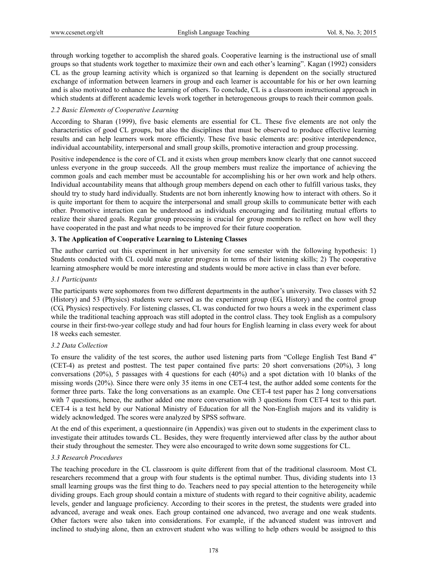through working together to accomplish the shared goals. Cooperative learning is the instructional use of small groups so that students work together to maximize their own and each other's learning". Kagan (1992) considers CL as the group learning activity which is organized so that learning is dependent on the socially structured exchange of information between learners in group and each learner is accountable for his or her own learning and is also motivated to enhance the learning of others. To conclude, CL is a classroom instructional approach in which students at different academic levels work together in heterogeneous groups to reach their common goals.

## *2.2 Basic Elements of Cooperative Learning*

According to Sharan (1999), five basic elements are essential for CL. These five elements are not only the characteristics of good CL groups, but also the disciplines that must be observed to produce effective learning results and can help learners work more efficiently. These five basic elements are: positive interdependence, individual accountability, interpersonal and small group skills, promotive interaction and group processing.

Positive independence is the core of CL and it exists when group members know clearly that one cannot succeed unless everyone in the group succeeds. All the group members must realize the importance of achieving the common goals and each member must be accountable for accomplishing his or her own work and help others. Individual accountability means that although group members depend on each other to fulfill various tasks, they should try to study hard individually. Students are not born inherently knowing how to interact with others. So it is quite important for them to acquire the interpersonal and small group skills to communicate better with each other. Promotive interaction can be understood as individuals encouraging and facilitating mutual efforts to realize their shared goals. Regular group processing is crucial for group members to reflect on how well they have cooperated in the past and what needs to be improved for their future cooperation.

#### **3. The Application of Cooperative Learning to Listening Classes**

The author carried out this experiment in her university for one semester with the following hypothesis: 1) Students conducted with CL could make greater progress in terms of their listening skills; 2) The cooperative learning atmosphere would be more interesting and students would be more active in class than ever before.

#### *3.1 Participants*

The participants were sophomores from two different departments in the author's university. Two classes with 52 (History) and 53 (Physics) students were served as the experiment group (EG, History) and the control group (CG, Physics) respectively. For listening classes, CL was conducted for two hours a week in the experiment class while the traditional teaching approach was still adopted in the control class. They took English as a compulsory course in their first-two-year college study and had four hours for English learning in class every week for about 18 weeks each semester.

## *3.2 Data Collection*

To ensure the validity of the test scores, the author used listening parts from "College English Test Band 4" (CET-4) as pretest and posttest. The test paper contained five parts: 20 short conversations (20%), 3 long conversations (20%), 5 passages with 4 questions for each (40%) and a spot dictation with 10 blanks of the missing words (20%). Since there were only 35 items in one CET-4 test, the author added some contents for the former three parts. Take the long conversations as an example. One CET-4 test paper has 2 long conversations with 7 questions, hence, the author added one more conversation with 3 questions from CET-4 test to this part. CET-4 is a test held by our National Ministry of Education for all the Non-English majors and its validity is widely acknowledged. The scores were analyzed by SPSS software.

At the end of this experiment, a questionnaire (in Appendix) was given out to students in the experiment class to investigate their attitudes towards CL. Besides, they were frequently interviewed after class by the author about their study throughout the semester. They were also encouraged to write down some suggestions for CL.

## *3.3 Research Procedures*

The teaching procedure in the CL classroom is quite different from that of the traditional classroom. Most CL researchers recommend that a group with four students is the optimal number. Thus, dividing students into 13 small learning groups was the first thing to do. Teachers need to pay special attention to the heterogeneity while dividing groups. Each group should contain a mixture of students with regard to their cognitive ability, academic levels, gender and language proficiency. According to their scores in the pretest, the students were graded into advanced, average and weak ones. Each group contained one advanced, two average and one weak students. Other factors were also taken into considerations. For example, if the advanced student was introvert and inclined to studying alone, then an extrovert student who was willing to help others would be assigned to this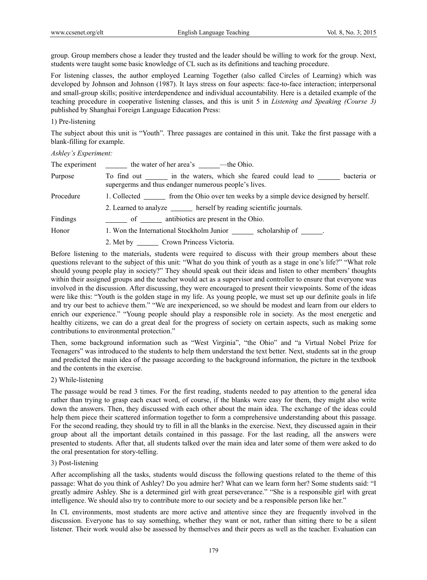group. Group members chose a leader they trusted and the leader should be willing to work for the group. Next, students were taught some basic knowledge of CL such as its definitions and teaching procedure.

For listening classes, the author employed Learning Together (also called Circles of Learning) which was developed by Johnson and Johnson (1987). It lays stress on four aspects: face-to-face interaction; interpersonal and small-group skills; positive interdependence and individual accountability. Here is a detailed example of the teaching procedure in cooperative listening classes, and this is unit 5 in *Listening and Speaking (Course 3)*  published by Shanghai Foreign Language Education Press:

### 1) Pre-listening

The subject about this unit is "Youth". Three passages are contained in this unit. Take the first passage with a blank-filling for example.

### *Ashley's Experiment:*

|           | The experiment the water of her area's —the Ohio.                                                                              |
|-----------|--------------------------------------------------------------------------------------------------------------------------------|
| Purpose   | To find out in the waters, which she feared could lead to bacteria or<br>supergerms and thus endanger numerous people's lives. |
| Procedure | 1. Collected <u>same</u> from the Ohio over ten weeks by a simple device designed by herself.                                  |
|           | 2. Learned to analyze _______ herself by reading scientific journals.                                                          |
| Findings  | of antibiotics are present in the Ohio.                                                                                        |
| Honor     | 1. Won the International Stockholm Junior _________ scholarship of ______.                                                     |
|           | 2. Met by _________ Crown Princess Victoria.                                                                                   |

Before listening to the materials, students were required to discuss with their group members about these questions relevant to the subject of this unit: "What do you think of youth as a stage in one's life?" "What role should young people play in society?" They should speak out their ideas and listen to other members' thoughts within their assigned groups and the teacher would act as a supervisor and controller to ensure that everyone was involved in the discussion. After discussing, they were encouraged to present their viewpoints. Some of the ideas were like this: "Youth is the golden stage in my life. As young people, we must set up our definite goals in life and try our best to achieve them." "We are inexperienced, so we should be modest and learn from our elders to enrich our experience." "Young people should play a responsible role in society. As the most energetic and healthy citizens, we can do a great deal for the progress of society on certain aspects, such as making some contributions to environmental protection."

Then, some background information such as "West Virginia", "the Ohio" and "a Virtual Nobel Prize for Teenagers" was introduced to the students to help them understand the text better. Next, students sat in the group and predicted the main idea of the passage according to the background information, the picture in the textbook and the contents in the exercise.

## 2) While-listening

The passage would be read 3 times. For the first reading, students needed to pay attention to the general idea rather than trying to grasp each exact word, of course, if the blanks were easy for them, they might also write down the answers. Then, they discussed with each other about the main idea. The exchange of the ideas could help them piece their scattered information together to form a comprehensive understanding about this passage. For the second reading, they should try to fill in all the blanks in the exercise. Next, they discussed again in their group about all the important details contained in this passage. For the last reading, all the answers were presented to students. After that, all students talked over the main idea and later some of them were asked to do the oral presentation for story-telling.

## 3) Post-listening

After accomplishing all the tasks, students would discuss the following questions related to the theme of this passage: What do you think of Ashley? Do you admire her? What can we learn form her? Some students said: "I greatly admire Ashley. She is a determined girl with great perseverance." "She is a responsible girl with great intelligence. We should also try to contribute more to our society and be a responsible person like her."

In CL environments, most students are more active and attentive since they are frequently involved in the discussion. Everyone has to say something, whether they want or not, rather than sitting there to be a silent listener. Their work would also be assessed by themselves and their peers as well as the teacher. Evaluation can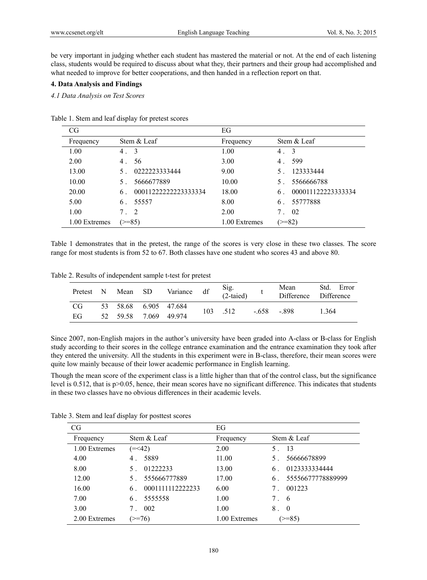be very important in judging whether each student has mastered the material or not. At the end of each listening class, students would be required to discuss about what they, their partners and their group had accomplished and what needed to improve for better cooperations, and then handed in a reflection report on that.

## **4. Data Analysis and Findings**

*4.1 Data Analysis on Test Scores* 

| CG            |                           | EG            |                          |
|---------------|---------------------------|---------------|--------------------------|
| Frequency     | Stem & Leaf               | Frequency     | Stem & Leaf              |
| 1.00          | -3<br>4                   | 1.00          | -3<br>4 <sub>1</sub>     |
| 2.00          | 56<br>$-4$ .              | 3.00          | 599<br>4                 |
| 13.00         | 0222223333444             | 9.00          | 123333444                |
| 10.00         | 5666677889                | 10.00         | 5566666788               |
| 20.00         | 00011222222223333334<br>6 | 18.00         | 000011122223333334<br>6. |
| 5.00          | 55557<br>6.               | 8.00          | 55777888<br>6.           |
| 1.00          | 7.2                       | 2.00          | 02<br>7                  |
| 1.00 Extremes | $>=85$                    | 1.00 Extremes | $>= 82$                  |

Table 1 demonstrates that in the pretest, the range of the scores is very close in these two classes. The score range for most students is from 52 to 67. Both classes have one student who scores 43 and above 80.

Table 2. Results of independent sample t-test for pretest

| Pretest N |     | Mean     | - SD  | Variance     | df  | Sig.<br>(2-taied) |       | Mean<br>Difference | Std.<br>Error<br>Difference |
|-----------|-----|----------|-------|--------------|-----|-------------------|-------|--------------------|-----------------------------|
| CG        |     | 53 58.68 |       | 6.905 47.684 | 103 | .512              | - 658 | - 898              | 1.364                       |
| EG        | 52. | 59.58    | 7.069 | 49 974       |     |                   |       |                    |                             |

Since 2007, non-English majors in the author's university have been graded into A-class or B-class for English study according to their scores in the college entrance examination and the entrance examination they took after they entered the university. All the students in this experiment were in B-class, therefore, their mean scores were quite low mainly because of their lower academic performance in English learning.

Though the mean score of the experiment class is a little higher than that of the control class, but the significance level is 0.512, that is p>0.05, hence, their mean scores have no significant difference. This indicates that students in these two classes have no obvious differences in their academic levels.

Table 3. Stem and leaf display for posttest scores

| CG            |                       | EG            |                         |
|---------------|-----------------------|---------------|-------------------------|
| Frequency     | Stem & Leaf           | Frequency     | Stem & Leaf             |
| 1.00 Extremes | $= <12$               | 2.00          | -13<br>5                |
| 4.00          | 5889<br>4             | 11.00         | 56666678899             |
| 8.00          | 01222233<br>5.        | 13.00         | 0123333334444<br>6.     |
| 12.00         | 555666777889<br>5.    | 17.00         | 55556677778889999<br>6. |
| 16.00         | 0001111112222233<br>6 | 6.00          | 001223                  |
| 7.00          | 5555558<br>6          | 1.00          | 7.6                     |
| 3.00          | 002                   | 1.00          | 8.<br>$\Omega$          |
| 2.00 Extremes | $>=76$                | 1.00 Extremes | $>=85$                  |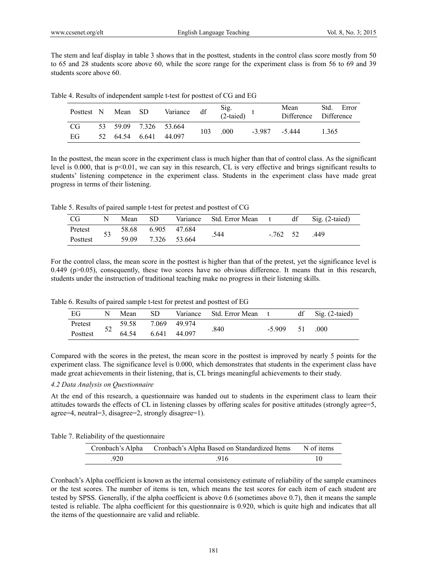The stem and leaf display in table 3 shows that in the posttest, students in the control class score mostly from 50 to 65 and 28 students score above 60, while the score range for the experiment class is from 56 to 69 and 39 students score above 60.

| Posttest N |    | Mean     | - SD  | Variance     | df  | Sig.<br>(2-taied) |          | Mean<br>Difference | Std.<br>Error<br>Difference |
|------------|----|----------|-------|--------------|-----|-------------------|----------|--------------------|-----------------------------|
| CG         |    | 53 59.09 |       | 7.326 53.664 |     | .000              | $-3.987$ | -5 444             |                             |
| EG         | 52 | 64.54    | 6.641 | 44.097       | 103 |                   |          |                    | 1.365                       |

Table 4. Results of independent sample t-test for posttest of CG and EG

In the posttest, the mean score in the experiment class is much higher than that of control class. As the significant level is 0.000, that is  $p<0.01$ , we can say in this research, CL is very effective and brings significant results to students' listening competence in the experiment class. Students in the experiment class have made great progress in terms of their listening.

Table 5. Results of paired sample t-test for pretest and posttest of CG

| CG       | Mean  | - SD | Variance           | Std. Error Mean t df |           | Sig. $(2$ -taied) |
|----------|-------|------|--------------------|----------------------|-----------|-------------------|
| Pretest  |       |      | 58.68 6.905 47.684 |                      | $-762$ 52 | .449              |
| Posttest | 59.09 |      | 7.326 53.664       | .544                 |           |                   |

For the control class, the mean score in the posttest is higher than that of the pretest, yet the significance level is 0.449 ( $p > 0.05$ ), consequently, these two scores have no obvious difference. It means that in this research, students under the instruction of traditional teaching make no progress in their listening skills.

Table 6. Results of paired sample t-test for pretest and posttest of EG

| EG       | N | Mean | <b>SD</b>          | Variance             | Std. Error Mean |         |    | df Sig. $(2$ -taied) |
|----------|---|------|--------------------|----------------------|-----------------|---------|----|----------------------|
| Pretest  |   |      |                    | $59.58$ 7.069 49.974 |                 | $-5909$ | 51 | .000                 |
| Posttest |   |      | 64.54 6.641 44.097 |                      | .840            |         |    |                      |

Compared with the scores in the pretest, the mean score in the posttest is improved by nearly 5 points for the experiment class. The significance level is 0.000, which demonstrates that students in the experiment class have made great achievements in their listening, that is, CL brings meaningful achievements to their study.

#### *4.2 Data Analysis on Questionnaire*

At the end of this research, a questionnaire was handed out to students in the experiment class to learn their attitudes towards the effects of CL in listening classes by offering scales for positive attitudes (strongly agree=5, agree=4, neutral=3, disagree=2, strongly disagree=1).

Table 7. Reliability of the questionnaire

|      | Cronbach's Alpha Cronbach's Alpha Based on Standardized Items | N of items |
|------|---------------------------------------------------------------|------------|
| .920 | 916                                                           |            |

Cronbach's Alpha coefficient is known as the internal consistency estimate of reliability of the sample examinees or the test scores. The number of items is ten, which means the test scores for each item of each student are tested by SPSS. Generally, if the alpha coefficient is above 0.6 (sometimes above 0.7), then it means the sample tested is reliable. The alpha coefficient for this questionnaire is 0.920, which is quite high and indicates that all the items of the questionnaire are valid and reliable.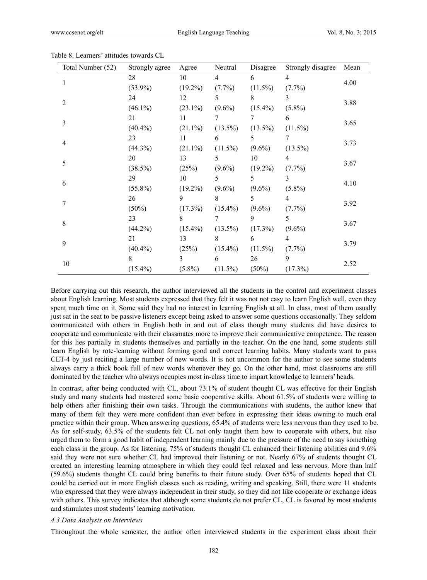| Total Number (52) | Strongly agree | Agree       | Neutral        | Disagree   | Strongly disagree | Mean |
|-------------------|----------------|-------------|----------------|------------|-------------------|------|
| 1                 | 28             | 10          | $\overline{4}$ | 6          | 4                 | 4.00 |
|                   | $(53.9\%)$     | $(19.2\%)$  | $(7.7\%)$      | $(11.5\%)$ | $(7.7\%)$         |      |
| $\overline{2}$    | 24             | 12          | 5              | 8          | 3                 | 3.88 |
|                   | $(46.1\%)$     | $(23.1\%)$  | $(9.6\%)$      | $(15.4\%)$ | $(5.8\%)$         |      |
|                   | 21             | 11          | 7              | 7          | 6                 |      |
| 3                 | $(40.4\%)$     | $(21.1\%)$  | $(13.5\%)$     | $(13.5\%)$ | $(11.5\%)$        | 3.65 |
| $\overline{4}$    | 23             | 11          | 6              | 5.         | $\tau$            | 3.73 |
|                   | $(44.3\%)$     | $(21.1\%)$  | $(11.5\%)$     | $(9.6\%)$  | $(13.5\%)$        |      |
| 5                 | 20             | 13          | 5              | 10         | 4                 | 3.67 |
|                   | $(38.5\%)$     | (25%)       | $(9.6\%)$      | $(19.2\%)$ | $(7.7\%)$         |      |
|                   | 29             | 10          | 5              | 5          | $\overline{3}$    |      |
| 6                 | $(55.8\%)$     | $(19.2\%)$  | $(9.6\%)$      | $(9.6\%)$  | $(5.8\%)$         | 4.10 |
| 7                 | 26             | 9           | 8              | 5.         | $\overline{4}$    |      |
|                   | $(50\%)$       | $(17.3\%)$  | $(15.4\%)$     | $(9.6\%)$  | $(7.7\%)$         | 3.92 |
| 8                 | 23             | 8           | $\tau$         | 9          | 5                 |      |
|                   | $(44.2\%)$     | $(15.4\%)$  | $(13.5\%)$     | $(17.3\%)$ | $(9.6\%)$         | 3.67 |
| 9                 | 21             | 13          | 8              | 6          | $\overline{4}$    |      |
|                   | $(40.4\%)$     | (25%)       | $(15.4\%)$     | $(11.5\%)$ | $(7.7\%)$         | 3.79 |
|                   | 8              | $3^{\circ}$ | 6              | 26         | 9                 |      |
| 10                | $(15.4\%)$     | $(5.8\%)$   | $(11.5\%)$     | $(50\%)$   | $(17.3\%)$        | 2.52 |

Table 8. Learners' attitudes towards CL

Before carrying out this research, the author interviewed all the students in the control and experiment classes about English learning. Most students expressed that they felt it was not not easy to learn English well, even they spent much time on it. Some said they had no interest in learning English at all. In class, most of them usually just sat in the seat to be passive listeners except being asked to answer some questions occasionally. They seldom communicated with others in English both in and out of class though many students did have desires to cooperate and communicate with their classmates more to improve their communicative competence. The reason for this lies partially in students themselves and partially in the teacher. On the one hand, some students still learn English by rote-learning without forming good and correct learning habits. Many students want to pass CET-4 by just reciting a large number of new words. It is not uncommon for the author to see some students always carry a thick book full of new words whenever they go. On the other hand, most classrooms are still dominated by the teacher who always occupies most in-class time to impart knowledge to learners' heads.

In contrast, after being conducted with CL, about 73.1% of student thought CL was effective for their English study and many students had mastered some basic cooperative skills. About 61.5% of students were willing to help others after finishing their own tasks. Through the communications with students, the author knew that many of them felt they were more confident than ever before in expressing their ideas owning to much oral practice within their group. When answering questions, 65.4% of students were less nervous than they used to be. As for self-study, 63.5% of the students felt CL not only taught them how to cooperate with others, but also urged them to form a good habit of independent learning mainly due to the pressure of the need to say something each class in the group. As for listening, 75% of students thought CL enhanced their listening abilities and 9.6% said they were not sure whether CL had improved their listening or not. Nearly 67% of students thought CL created an interesting learning atmosphere in which they could feel relaxed and less nervous. More than half (59.6%) students thought CL could bring benefits to their future study. Over 65% of students hoped that CL could be carried out in more English classes such as reading, writing and speaking. Still, there were 11 students who expressed that they were always independent in their study, so they did not like cooperate or exchange ideas with others. This survey indicates that although some students do not prefer CL, CL is favored by most students and stimulates most students' learning motivation.

#### *4.3 Data Analysis on Interviews*

Throughout the whole semester, the author often interviewed students in the experiment class about their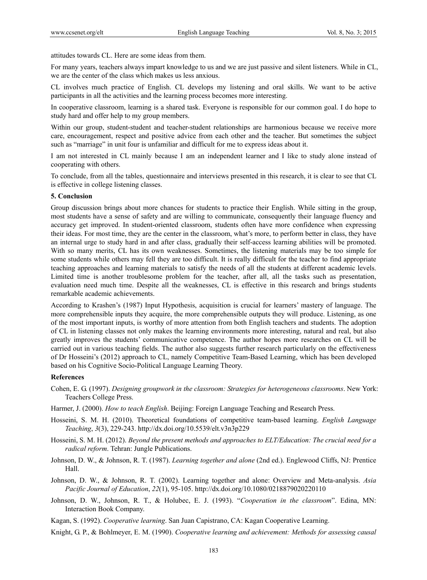attitudes towards CL. Here are some ideas from them.

For many years, teachers always impart knowledge to us and we are just passive and silent listeners. While in CL, we are the center of the class which makes us less anxious.

CL involves much practice of English. CL develops my listening and oral skills. We want to be active participants in all the activities and the learning process becomes more interesting.

In cooperative classroom, learning is a shared task. Everyone is responsible for our common goal. I do hope to study hard and offer help to my group members.

Within our group, student-student and teacher-student relationships are harmonious because we receive more care, encouragement, respect and positive advice from each other and the teacher. But sometimes the subject such as "marriage" in unit four is unfamiliar and difficult for me to express ideas about it.

I am not interested in CL mainly because I am an independent learner and I like to study alone instead of cooperating with others.

To conclude, from all the tables, questionnaire and interviews presented in this research, it is clear to see that CL is effective in college listening classes.

#### **5. Conclusion**

Group discussion brings about more chances for students to practice their English. While sitting in the group, most students have a sense of safety and are willing to communicate, consequently their language fluency and accuracy get improved. In student-oriented classroom, students often have more confidence when expressing their ideas. For most time, they are the center in the classroom, what's more, to perform better in class, they have an internal urge to study hard in and after class, gradually their self-access learning abilities will be promoted. With so many merits, CL has its own weaknesses. Sometimes, the listening materials may be too simple for some students while others may fell they are too difficult. It is really difficult for the teacher to find appropriate teaching approaches and learning materials to satisfy the needs of all the students at different academic levels. Limited time is another troublesome problem for the teacher, after all, all the tasks such as presentation, evaluation need much time. Despite all the weaknesses, CL is effective in this research and brings students remarkable academic achievements.

According to Krashen's (1987) Input Hypothesis, acquisition is crucial for learners' mastery of language. The more comprehensible inputs they acquire, the more comprehensible outputs they will produce. Listening, as one of the most important inputs, is worthy of more attention from both English teachers and students. The adoption of CL in listening classes not only makes the learning environments more interesting, natural and real, but also greatly improves the students' communicative competence. The author hopes more researches on CL will be carried out in various teaching fields. The author also suggests further research particularly on the effectiveness of Dr Hosseini's (2012) approach to CL, namely Competitive Team-Based Learning, which has been developed based on his Cognitive Socio-Political Language Learning Theory.

### **References**

Cohen, E. G. (1997). *Designing groupwork in the classroom: Strategies for heterogeneous classrooms*. New York: Teachers College Press.

Harmer, J. (2000). *How to teach English*. Beijing: Foreign Language Teaching and Research Press.

- Hosseini, S. M. H. (2010). Theoretical foundations of competitive team-based learning. *English Language Teaching*, *3*(3), 229-243. http://dx.doi.org/10.5539/elt.v3n3p229
- Hosseini, S. M. H. (2012). *Beyond the present methods and approaches to ELT/Education: The crucial need for a radical reform*. Tehran: Jungle Publications.
- Johnson, D. W., & Johnson, R. T. (1987). *Learning together and alone* (2nd ed.). Englewood Cliffs, NJ: Prentice Hall.
- Johnson, D. W., & Johnson, R. T. (2002). Learning together and alone: Overview and Meta-analysis. *Asia Pacific Journal of Education*, *22*(1), 95-105. http://dx.doi.org/10.1080/0218879020220110
- Johnson, D. W., Johnson, R. T., & Holubec, E. J. (1993). "*Cooperation in the classroom*". Edina, MN: Interaction Book Company.
- Kagan, S. (1992). *Cooperative learning*. San Juan Capistrano, CA: Kagan Cooperative Learning.
- Knight, G. P., & Bohlmeyer, E. M. (1990). *Cooperative learning and achievement: Methods for assessing causal*